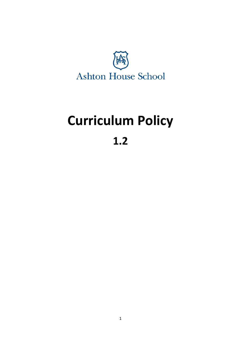

# **Curriculum Policy**

## **1.2**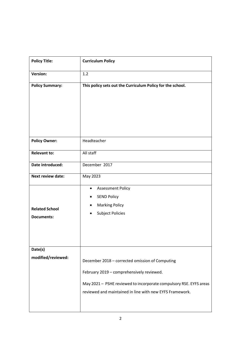| <b>Policy Title:</b>     | <b>Curriculum Policy</b>                                           |
|--------------------------|--------------------------------------------------------------------|
| <b>Version:</b>          | 1.2                                                                |
| <b>Policy Summary:</b>   | This policy sets out the Curriculum Policy for the school.         |
| <b>Policy Owner:</b>     | Headteacher                                                        |
| <b>Relevant to:</b>      | All staff                                                          |
| Date introduced:         | December 2017                                                      |
| <b>Next review date:</b> | May 2023                                                           |
|                          | <b>Assessment Policy</b><br>$\bullet$                              |
|                          | <b>SEND Policy</b><br>$\bullet$                                    |
| <b>Related School</b>    | <b>Marking Policy</b>                                              |
| <b>Documents:</b>        | <b>Subject Policies</b><br>$\bullet$                               |
|                          |                                                                    |
| Date(s)                  |                                                                    |
| modified/reviewed:       | December 2018 - corrected omission of Computing                    |
|                          | February 2019 - comprehensively reviewed.                          |
|                          | May 2021 - PSHE reviewed to incorporate compulsory RSE. EYFS areas |
|                          | reviewed and maintained in line with new EYFS Framework.           |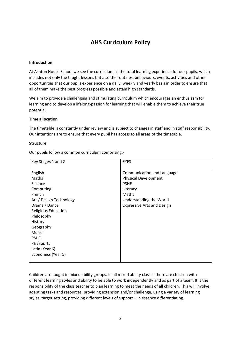### **AHS Curriculum Policy**

#### **Introduction**

At Ashton House School we see the curriculum as the total learning experience for our pupils, which includes not only the taught lessons but also the routines, behaviours, events, activities and other opportunities that our pupils experience on a daily, weekly and yearly basis in order to ensure that all of them make the best progress possible and attain high standards.

We aim to provide a challenging and stimulating curriculum which encourages an enthusiasm for learning and to develop a lifelong-passion for learning that will enable them to achieve their true potential.

#### **Time allocation**

The timetable is constantly under review and is subject to changes in staff and in staff responsibility. Our intentions are to ensure that every pupil has access to all areas of the timetable.

#### **Structure**

Our pupils follow a common curriculum comprising:-

| Key Stages 1 and 2         | <b>EYFS</b>                       |
|----------------------------|-----------------------------------|
|                            |                                   |
| English                    | Communication and Language        |
| Maths                      | <b>Physical Development</b>       |
| Science                    | <b>PSHE</b>                       |
| Computing                  | Literacy                          |
| French                     | Maths                             |
| Art / Design Technology    | Understanding the World           |
| Drama / Dance              | <b>Expressive Arts and Design</b> |
| <b>Religious Education</b> |                                   |
| Philosophy                 |                                   |
| History                    |                                   |
| Geography                  |                                   |
| Music                      |                                   |
| <b>PSHE</b>                |                                   |
| PE/Sports                  |                                   |
| Latin (Year 6)             |                                   |
| Economics (Year 5)         |                                   |
|                            |                                   |

Children are taught in mixed ability groups. In all mixed ability classes there are children with different learning styles and ability to be able to work independently and as part of a team. It is the responsibility of the class teacher to plan learning to meet the needs of all children. This will involve: adapting tasks and resources, providing extension and/or challenge, using a variety of learning styles, target setting, providing different levels of support – in essence differentiating.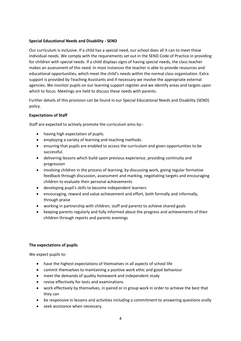#### **Special Educational Needs and Disability - SEND**

Our curriculum is inclusive. If a child has a special need, our school does all it can to meet these individual needs. We comply with the requirements set out in the SEND Code of Practice in providing for children with special needs. If a child displays signs of having special needs, the class teacher makes an assessment of this need. In most instances the teacher is able to provide resources and educational opportunities, which meet the child's needs within the normal class organisation. Extra support is provided by Teaching Assistants and if necessary we involve the appropriate external agencies. We monitor pupils on our learning support register and we identify areas and targets upon which to focus. Meetings are held to discuss these needs with parents.

Further details of this provision can be found in our Special Educational Needs and Disability (SEND) policy.

#### **Expectations of Staff**

Staff are expected to actively promote the curriculum aims by:-

- having high expectation of pupils.
- employing a variety of learning and teaching methods.
- ensuring that pupils are enabled to access the curriculum and given opportunities to be successful.
- delivering lessons which build upon previous experience, providing continuity and progression
- involving children in the process of learning, by discussing work, giving regular formative feedback through discussion, assessment and marking, negotiating targets and encouraging children to evaluate their personal achievements
- developing pupil's skills to become independent learners
- encouraging, reward and value achievement and effort, both formally and informally, through praise
- working in partnership with children, staff and parents to achieve shared goals
- keeping parents regularly and fully informed about the progress and achievements of their children through reports and parents evenings

#### **The expectations of pupils**

We expect pupils to:

- have the highest expectations of themselves in all aspects of school life
- commit themselves to maintaining a positive work ethic and good behaviour
- meet the demands of quality homework and independent study
- revise effectively for tests and examinations
- work effectively by themselves, in paired or in group work in order to achieve the best that they can
- be responsive in lessons and activities including a commitment to answering questions orally
- seek assistance when necessary.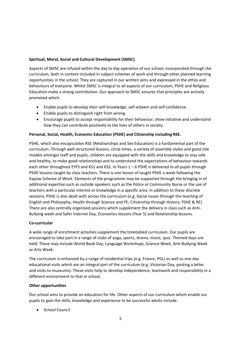#### **Spiritual, Moral, Social and Cultural Development (SMSC)**

Aspects of SMSC are infused within the day to day operation of our school; incorporated through the curriculum, both in content included in subject schemes of work and through other planned learning opportunities in the school. They are captured in our written aims and expressed in the ethos and behaviours of everyone. Whilst SMSC is integral to all aspects of our curriculum, PSHE and Religious Education make a strong contribution. Our approach to SMSC ensures that principles are actively promoted which:

- Enable pupils to develop their self-knowledge, self-esteem and self-confidence.
- Enable pupils to distinguish right from wrong.
- Encourage pupils to accept responsibility for their behaviour, show initiative and understand how they can contribute positively to the lives of others in society.

#### **Personal, Social, Health, Economic Education (PSHE) and Citizenship including RSE.**

PSHE, which also encapsulates RSE (Relationships and Sex Education) is a fundamental part of the curriculum. Through well-structured lessons, circle times, a variety of assembly styles and good role models amongst staff and pupils, children are equipped with the skills and knowledge to stay safe and healthy, to make good relationships and to understand the expectations of behaviour towards each other throughout EYFS and KS1 and KS2. In Years  $1 - 6$  PSHE is delivered to all pupils through PSHE lessons taught by class teachers. There is one lesson of taught PSHE a week following the Kapow Scheme of Work. Elements of the programme may be supported through the bringing in of additional expertise such as outside speakers such as the Police or Community Nurse or the use of teachers with a particular interest or knowledge in a specific area. In addition to these discrete sessions, PSHE is also dealt with across the curriculum (e.g. Social issues through the teaching of English and Philosophy; Health through Science and PE; Citizenship through History, PSHE & RE). There are also centrally organised sessions which supplement the delivery in class such as Anti-Bullying week and Safer Internet Day, Economics lessons (Year 5) and Relationship lessons.

#### **Co-curricular**

A wide range of enrichment activities supplement the timetabled curriculum. Our pupils are encouraged to take part in a range of clubs of yoga, sports, drama, music, quiz. Themed days are held. These may include World Book Day, Language Workshops, Science Week, Anti‐Bullying Week or Arts Week.

The curriculum is enhanced by a range of residential trips (e.g. France, PGL) as well as one day educational visits which are an integral part of the curriculum (e.g. Victorian Day, posting a letter and visits to museums). These visits help to develop independence, teamwork and responsibility in a different environment to that in school.

#### **Other opportunities**

Our school aims to provide an education for life. Other aspects of our curriculum which enable our pupils to gain the skills, knowledge and experience to be successful adults include:

• School Council